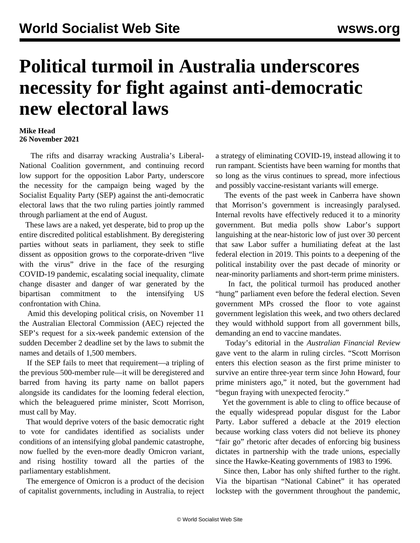## **Political turmoil in Australia underscores necessity for fight against anti-democratic new electoral laws**

## **Mike Head 26 November 2021**

 The rifts and disarray wracking Australia's Liberal-National Coalition government, and continuing record low support for the opposition Labor Party, underscore the necessity for the campaign being waged by the Socialist Equality Party (SEP) against the anti-democratic electoral laws that the two ruling parties jointly rammed through parliament at the end of August.

 These laws are a naked, yet desperate, bid to prop up the entire discredited political establishment. By deregistering parties without seats in parliament, they seek to stifle dissent as opposition grows to the corporate-driven "live with the virus" drive in the face of the resurging COVID-19 pandemic, escalating social inequality, climate change disaster and danger of war generated by the bipartisan commitment to the intensifying US confrontation with China.

 Amid this developing political crisis, on November 11 the Australian Electoral Commission (AEC) rejected the SEP's request for a six-week pandemic extension of the sudden December 2 deadline set by the laws to submit the names and details of 1,500 members.

 If the SEP fails to meet that requirement—a tripling of the previous 500-member rule—it will be deregistered and barred from having its party name on ballot papers alongside its candidates for the looming federal election, which the beleaguered prime minister, Scott Morrison, must call by May.

 That would deprive voters of the basic democratic right to vote for candidates identified as socialists under conditions of an intensifying global pandemic catastrophe, now fuelled by the even-more deadly Omicron variant, and rising hostility toward all the parties of the parliamentary establishment.

 The emergence of Omicron is a product of the decision of capitalist governments, including in Australia, to reject a strategy of eliminating COVID-19, instead allowing it to run rampant. Scientists have been warning for months that so long as the virus continues to spread, more infectious and possibly vaccine-resistant variants will emerge.

 The events of the past week in Canberra have shown that Morrison's government is increasingly paralysed. Internal revolts have effectively reduced it to a minority government. But media polls show Labor's support languishing at the near-historic low of just over 30 percent that saw Labor suffer a humiliating defeat at the last federal election in 2019. This points to a deepening of the political instability over the past decade of minority or near-minority parliaments and short-term prime ministers.

 In fact, the political turmoil has produced another "hung" parliament even before the federal election. Seven government MPs crossed the floor to vote against government legislation this week, and two others declared they would withhold support from all government bills, demanding an end to vaccine mandates.

 Today's editorial in the *Australian Financial Review* gave vent to the alarm in ruling circles. "Scott Morrison enters this election season as the first prime minister to survive an entire three-year term since John Howard, four prime ministers ago," it noted, but the government had "begun fraying with unexpected ferocity."

 Yet the government is able to cling to office because of the equally widespread popular disgust for the Labor Party. Labor suffered a debacle at the 2019 election because working class voters did not believe its phoney "fair go" rhetoric after decades of enforcing big business dictates in partnership with the trade unions, especially since the Hawke-Keating governments of 1983 to 1996.

 Since then, Labor has only shifted further to the right. Via the bipartisan "National Cabinet" it has operated lockstep with the government throughout the pandemic,